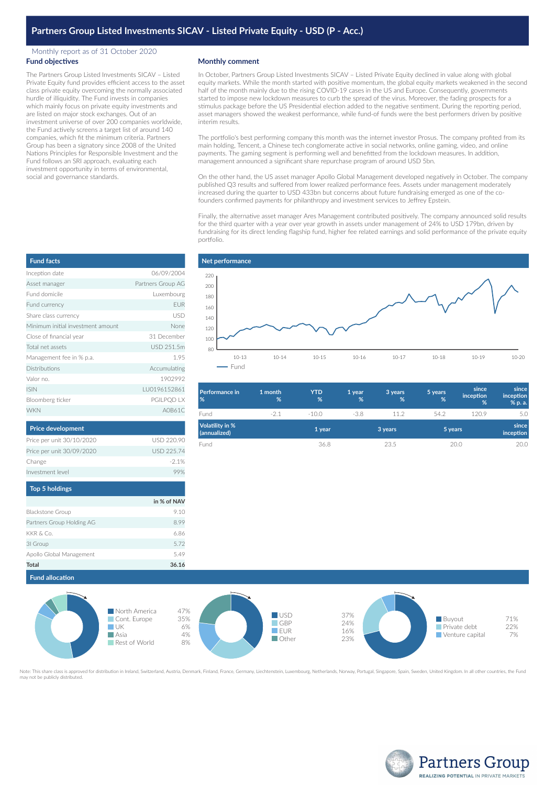# **Partners Group Listed Investments SICAV - Listed Private Equity - USD (P - Acc.)**

### Monthly report as of 31 October 2020 **Fund objectives**

The Partners Group Listed Investments SICAV – Listed Private Equity fund provides efficient access to the asset class private equity overcoming the normally associated hurdle of illiquidity. The Fund invests in companies which mainly focus on private equity investments and are listed on major stock exchanges. Out of an investment universe of over 200 companies worldwide, the Fund actively screens a target list of around 140 companies, which fit the minimum criteria. Partners Group has been a signatory since 2008 of the United Nations Principles for Responsible Investment and the Fund follows an SRI approach, evaluating each investment opportunity in terms of environmental, social and governance standards.

## **Monthly comment**

In October, Partners Group Listed Investments SICAV – Listed Private Equity declined in value along with global equity markets. While the month started with positive momentum, the global equity markets weakened in the second half of the month mainly due to the rising COVID-19 cases in the US and Europe. Consequently, governments started to impose new lockdown measures to curb the spread of the virus. Moreover, the fading prospects for a stimulus package before the US Presidential election added to the negative sentiment. During the reporting period, asset managers showed the weakest performance, while fund-of funds were the best performers driven by positive interim results.

The portfolio's best performing company this month was the internet investor Prosus. The company profited from its main holding, Tencent, a Chinese tech conglomerate active in social networks, online gaming, video, and online payments. The gaming segment is performing well and benefitted from the lockdown measures. In addition, management announced a significant share repurchase program of around USD 5bn.

On the other hand, the US asset manager Apollo Global Management developed negatively in October. The company published Q3 results and suffered from lower realized performance fees. Assets under management moderately increased during the quarter to USD 433bn but concerns about future fundraising emerged as one of the cofounders confirmed payments for philanthropy and investment services to Jeffrey Epstein.

Finally, the alternative asset manager Ares Management contributed positively. The company announced solid results for the third quarter with a year over year growth in assets under management of 24% to USD 179bn, driven by fundraising for its direct lending flagship fund, higher fee related earnings and solid performance of the private equity portfolio.



| Performance in<br>%                    | 1 month<br>% | <b>YTD</b><br>% | 1 year<br>% | 3 years<br>% | 5 years<br>% | since<br><i>inception</i><br>% | since<br><i>inception</i><br>% p. a. |
|----------------------------------------|--------------|-----------------|-------------|--------------|--------------|--------------------------------|--------------------------------------|
| Fund                                   | $-2.1$       | $-10.0$         | $-3.8$      | 112          | 54.2         | 120.9                          | 5.0                                  |
| <b>Volatility in %</b><br>(annualized) |              | 1 year          |             | 3 years      |              | 5 years                        | since<br>inception                   |
| Fund                                   |              | 36.8            |             | 23.5         |              | 20.0                           | 20.0                                 |

| <b>Fund facts</b>                 |                   |
|-----------------------------------|-------------------|
| Inception date                    | 06/09/2004        |
| Asset manager                     | Partners Group AG |
| Fund domicile                     | Luxembourg        |
| Fund currency                     | <b>EUR</b>        |
| Share class currency              | <b>USD</b>        |
| Minimum initial investment amount | None              |
| Close of financial year           | 31 December       |
| Total net assets                  | USD 251.5m        |
| Management fee in % p.a.          | 1.95              |
| Distributions                     | Accumulating      |
| Valor no.                         | 1902992           |
| <b>ISIN</b>                       | LU0196152861      |
| Bloomberg ticker                  | PGILPQD LX        |
| <b>WKN</b>                        | A0B61C            |

| Price per unit 30/10/2020 | USD 220.90        |
|---------------------------|-------------------|
| Price per unit 30/09/2020 | <b>USD 225.74</b> |
| Change                    | $-2.1%$           |
| Investment level          | 99%               |
| <b>Top 5 holdings</b>     |                   |
|                           |                   |
|                           | in % of NAV       |
| <b>Blackstone Group</b>   | 910               |
|                           |                   |

**Price development**

| Total                     | 36.16 |
|---------------------------|-------|
| Apollo Global Management  | 549   |
| 31 Group                  | 5.72  |
| KKR & Co.                 | 6.86  |
| Partners Group Holding AG | 8.99  |



Note: This share class is approved for distribution in Ireland. Switzerland, Austria, Denmark, Finland, France, Germany, Liechtenstein, Luxembourg, Netherlands, Norway, Portugal, Singapore, Spain, Sweden, United Kingdom, I ate. This share class is approvi<br>ay not be publicly distributed.